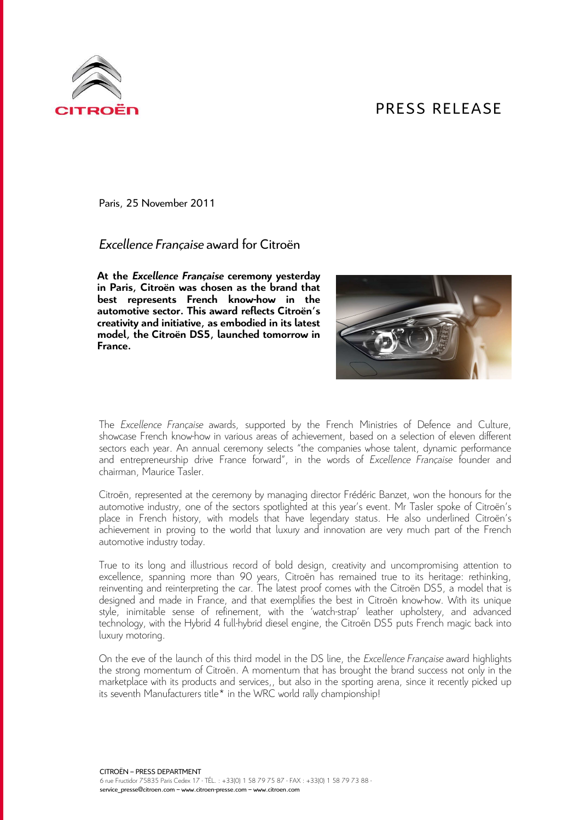## PRESS RELEASE



Paris, 25 November 2011

## *Excellence Française* award for Citroën

**At the** *Excellence Française* **ceremony yesterday in Paris, Citroën was chosen as the brand that best represents French know-how in the automotive sector. This award reflects Citroën's creativity and initiative, as embodied in its latest model, the Citroën DS5, launched tomorrow in France.** 



The *Excellence Française* awards, supported by the French Ministries of Defence and Culture, showcase French know-how in various areas of achievement, based on a selection of eleven different sectors each year. An annual ceremony selects "the companies whose talent, dynamic performance and entrepreneurship drive France forward", in the words of *Excellence Française* founder and chairman, Maurice Tasler.

Citroën, represented at the ceremony by managing director Frédéric Banzet, won the honours for the automotive industry, one of the sectors spotlighted at this year's event. Mr Tasler spoke of Citroën's place in French history, with models that have legendary status. He also underlined Citroën's achievement in proving to the world that luxury and innovation are very much part of the French automotive industry today.

True to its long and illustrious record of bold design, creativity and uncompromising attention to excellence, spanning more than 90 years, Citroën has remained true to its heritage: rethinking, reinventing and reinterpreting the car. The latest proof comes with the Citroën DS5, a model that is designed and made in France, and that exemplifies the best in Citroën know-how. With its unique style, inimitable sense of refinement, with the 'watch-strap' leather upholstery, and advanced technology, with the Hybrid 4 full-hybrid diesel engine, the Citroën DS5 puts French magic back into luxury motoring.

On the eve of the launch of this third model in the DS line, the *Excellence Française* award highlights the strong momentum of Citroën. A momentum that has brought the brand success not only in the marketplace with its products and services,, but also in the sporting arena, since it recently picked up its seventh Manufacturers title\* in the WRC world rally championship!